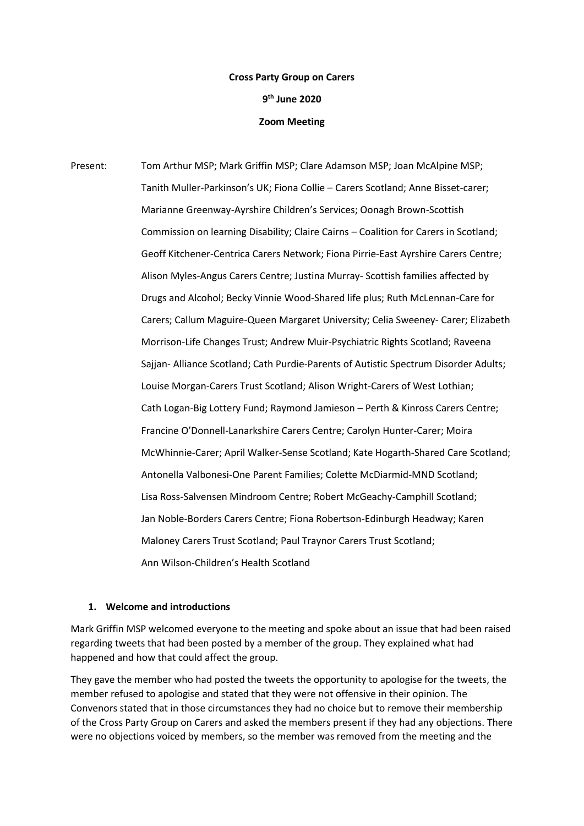# **Cross Party Group on Carers 9 th June 2020 Zoom Meeting**

Present: Tom Arthur MSP; Mark Griffin MSP; Clare Adamson MSP; Joan McAlpine MSP; Tanith Muller-Parkinson's UK; Fiona Collie – Carers Scotland; Anne Bisset-carer; Marianne Greenway-Ayrshire Children's Services; Oonagh Brown-Scottish Commission on learning Disability; Claire Cairns – Coalition for Carers in Scotland; Geoff Kitchener-Centrica Carers Network; Fiona Pirrie-East Ayrshire Carers Centre; Alison Myles-Angus Carers Centre; Justina Murray- Scottish families affected by Drugs and Alcohol; Becky Vinnie Wood-Shared life plus; Ruth McLennan-Care for Carers; Callum Maguire-Queen Margaret University; Celia Sweeney- Carer; Elizabeth Morrison-Life Changes Trust; Andrew Muir-Psychiatric Rights Scotland; Raveena Sajjan- Alliance Scotland; Cath Purdie-Parents of Autistic Spectrum Disorder Adults; Louise Morgan-Carers Trust Scotland; Alison Wright-Carers of West Lothian; Cath Logan-Big Lottery Fund; Raymond Jamieson – Perth & Kinross Carers Centre; Francine O'Donnell-Lanarkshire Carers Centre; Carolyn Hunter-Carer; Moira McWhinnie-Carer; April Walker-Sense Scotland; Kate Hogarth-Shared Care Scotland; Antonella Valbonesi-One Parent Families; Colette McDiarmid-MND Scotland; Lisa Ross-Salvensen Mindroom Centre; Robert McGeachy-Camphill Scotland; Jan Noble-Borders Carers Centre; Fiona Robertson-Edinburgh Headway; Karen Maloney Carers Trust Scotland; Paul Traynor Carers Trust Scotland; Ann Wilson-Children's Health Scotland

## **1. Welcome and introductions**

Mark Griffin MSP welcomed everyone to the meeting and spoke about an issue that had been raised regarding tweets that had been posted by a member of the group. They explained what had happened and how that could affect the group.

They gave the member who had posted the tweets the opportunity to apologise for the tweets, the member refused to apologise and stated that they were not offensive in their opinion. The Convenors stated that in those circumstances they had no choice but to remove their membership of the Cross Party Group on Carers and asked the members present if they had any objections. There were no objections voiced by members, so the member was removed from the meeting and the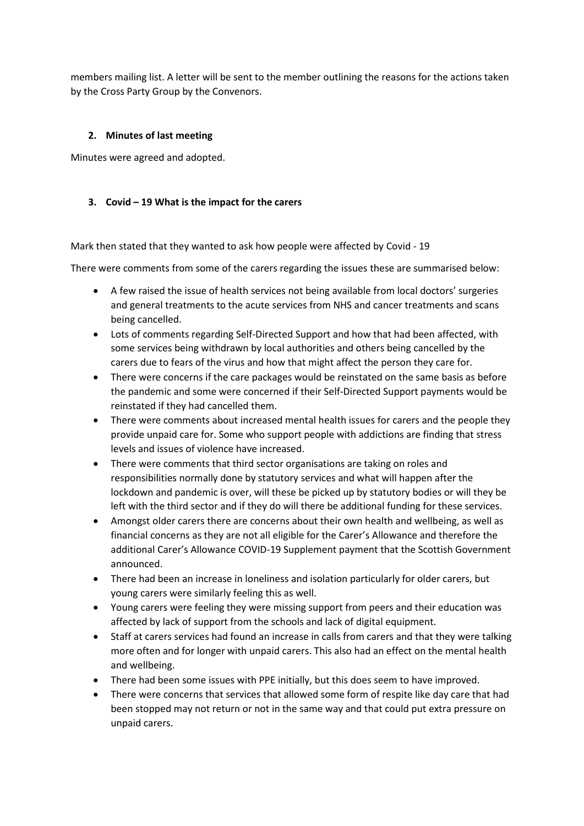members mailing list. A letter will be sent to the member outlining the reasons for the actions taken by the Cross Party Group by the Convenors.

#### **2. Minutes of last meeting**

Minutes were agreed and adopted.

#### **3. Covid – 19 What is the impact for the carers**

Mark then stated that they wanted to ask how people were affected by Covid - 19

There were comments from some of the carers regarding the issues these are summarised below:

- A few raised the issue of health services not being available from local doctors' surgeries and general treatments to the acute services from NHS and cancer treatments and scans being cancelled.
- Lots of comments regarding Self-Directed Support and how that had been affected, with some services being withdrawn by local authorities and others being cancelled by the carers due to fears of the virus and how that might affect the person they care for.
- There were concerns if the care packages would be reinstated on the same basis as before the pandemic and some were concerned if their Self-Directed Support payments would be reinstated if they had cancelled them.
- There were comments about increased mental health issues for carers and the people they provide unpaid care for. Some who support people with addictions are finding that stress levels and issues of violence have increased.
- There were comments that third sector organisations are taking on roles and responsibilities normally done by statutory services and what will happen after the lockdown and pandemic is over, will these be picked up by statutory bodies or will they be left with the third sector and if they do will there be additional funding for these services.
- Amongst older carers there are concerns about their own health and wellbeing, as well as financial concerns as they are not all eligible for the Carer's Allowance and therefore the additional Carer's Allowance COVID-19 Supplement payment that the Scottish Government announced.
- There had been an increase in loneliness and isolation particularly for older carers, but young carers were similarly feeling this as well.
- Young carers were feeling they were missing support from peers and their education was affected by lack of support from the schools and lack of digital equipment.
- Staff at carers services had found an increase in calls from carers and that they were talking more often and for longer with unpaid carers. This also had an effect on the mental health and wellbeing.
- There had been some issues with PPE initially, but this does seem to have improved.
- There were concerns that services that allowed some form of respite like day care that had been stopped may not return or not in the same way and that could put extra pressure on unpaid carers.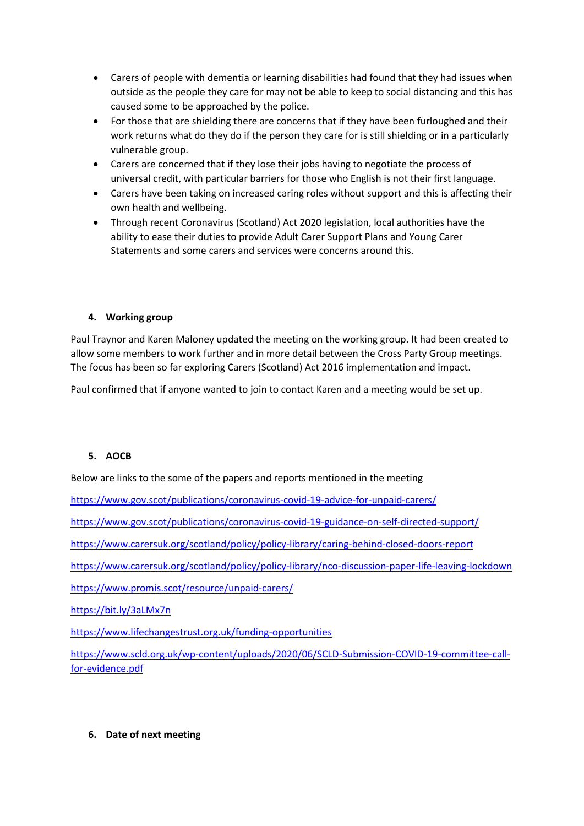- Carers of people with dementia or learning disabilities had found that they had issues when outside as the people they care for may not be able to keep to social distancing and this has caused some to be approached by the police.
- For those that are shielding there are concerns that if they have been furloughed and their work returns what do they do if the person they care for is still shielding or in a particularly vulnerable group.
- Carers are concerned that if they lose their jobs having to negotiate the process of universal credit, with particular barriers for those who English is not their first language.
- Carers have been taking on increased caring roles without support and this is affecting their own health and wellbeing.
- Through recent Coronavirus (Scotland) Act 2020 legislation, local authorities have the ability to ease their duties to provide Adult Carer Support Plans and Young Carer Statements and some carers and services were concerns around this.

# **4. Working group**

Paul Traynor and Karen Maloney updated the meeting on the working group. It had been created to allow some members to work further and in more detail between the Cross Party Group meetings. The focus has been so far exploring Carers (Scotland) Act 2016 implementation and impact.

Paul confirmed that if anyone wanted to join to contact Karen and a meeting would be set up.

# **5. AOCB**

Below are links to the some of the papers and reports mentioned in the meeting

<https://www.gov.scot/publications/coronavirus-covid-19-advice-for-unpaid-carers/>

<https://www.gov.scot/publications/coronavirus-covid-19-guidance-on-self-directed-support/>

<https://www.carersuk.org/scotland/policy/policy-library/caring-behind-closed-doors-report>

<https://www.carersuk.org/scotland/policy/policy-library/nco-discussion-paper-life-leaving-lockdown>

<https://www.promis.scot/resource/unpaid-carers/>

<https://bit.ly/3aLMx7n>

<https://www.lifechangestrust.org.uk/funding-opportunities>

[https://www.scld.org.uk/wp-content/uploads/2020/06/SCLD-Submission-COVID-19-committee-call](https://www.scld.org.uk/wp-content/uploads/2020/06/SCLD-Submission-COVID-19-committee-call-for-evidence.pdf)[for-evidence.pdf](https://www.scld.org.uk/wp-content/uploads/2020/06/SCLD-Submission-COVID-19-committee-call-for-evidence.pdf)

## **6. Date of next meeting**